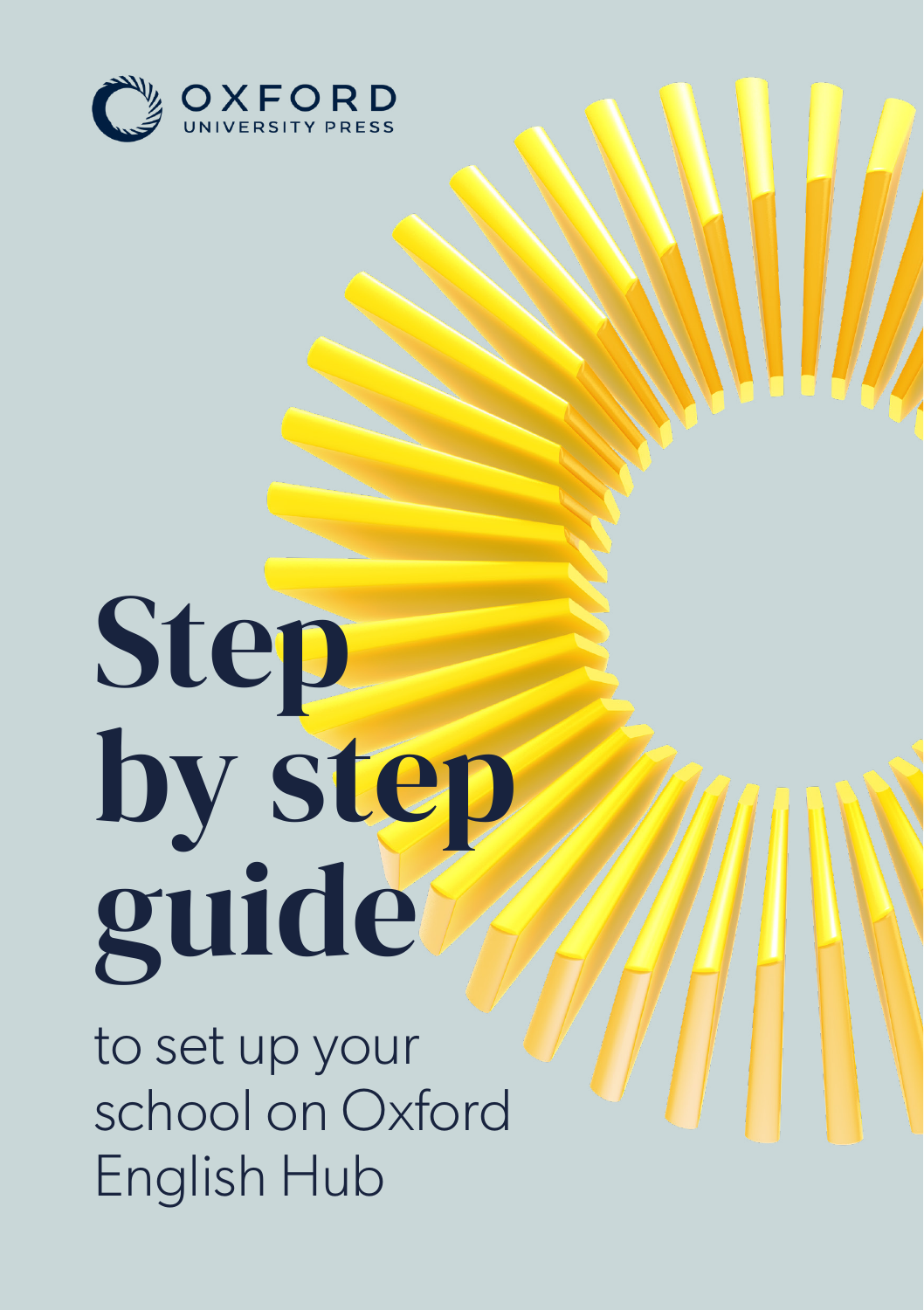

# Step by step guide

to set up your school on Oxford English Hub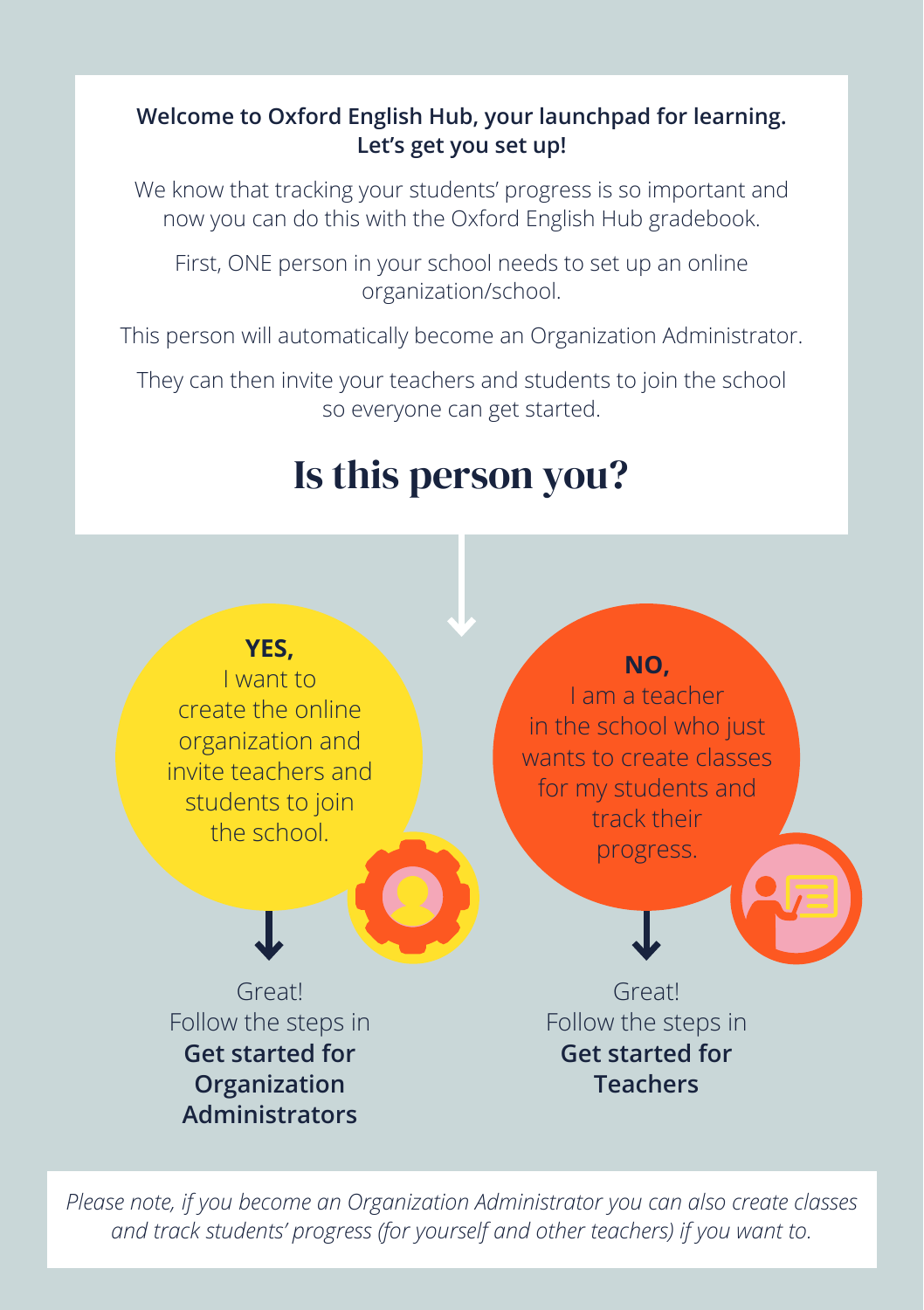#### **Welcome to Oxford English Hub, your launchpad for learning. Let's get you set up!**

We know that tracking your students' progress is so important and now you can do this with the Oxford English Hub gradebook.

First, ONE person in your school needs to set up an online organization/school.

This person will automatically become an Organization Administrator.

They can then invite your teachers and students to join the school so everyone can get started.

## Is this person you?



*Please note, if you become an Organization Administrator you can also create classes and track students' progress (for yourself and other teachers) if you want to.*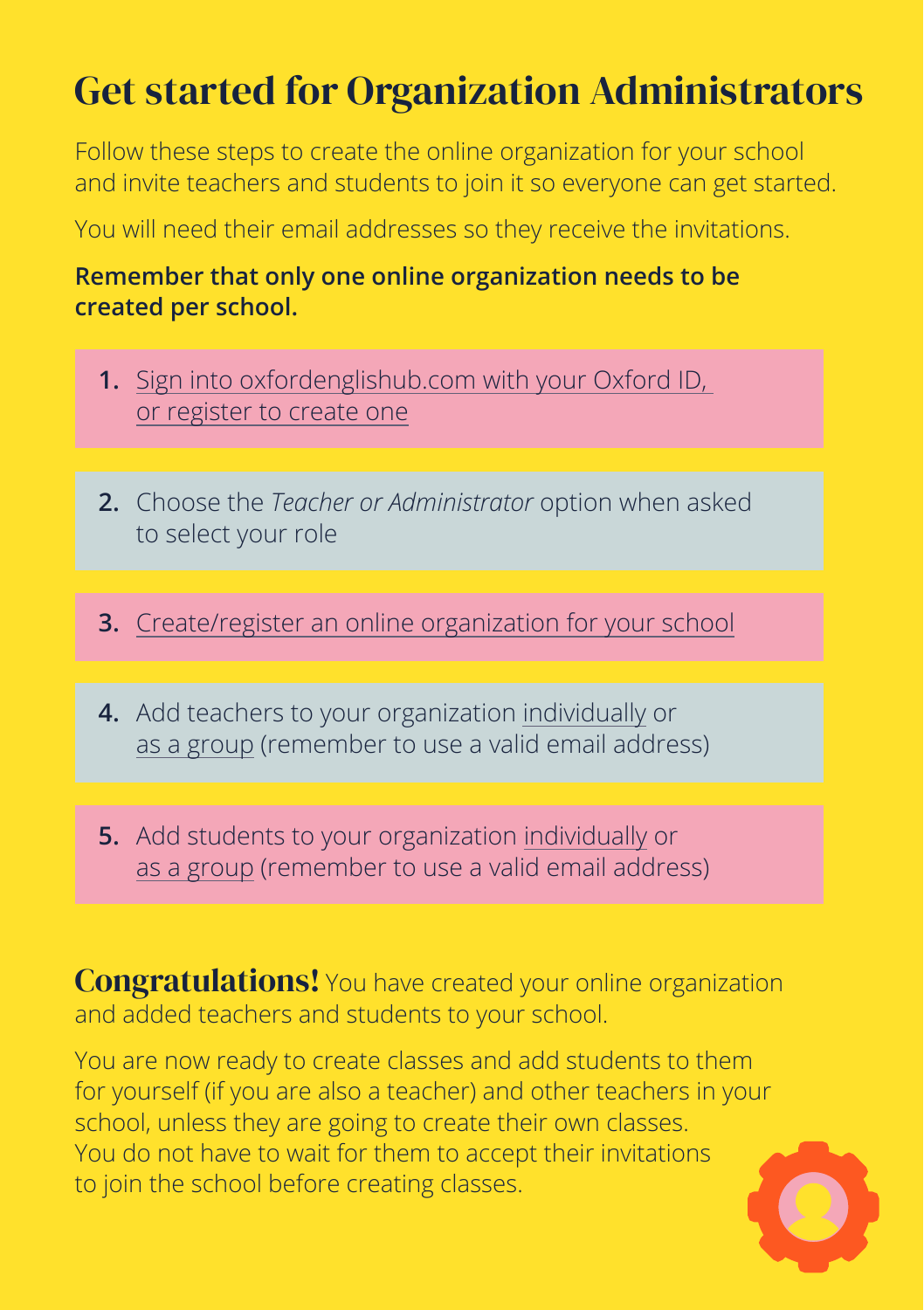## <span id="page-2-0"></span>Get started for Organization Administrators

Follow these steps to create the online organization for your school and invite teachers and students to join it so everyone can get started.

You will need their email addresses so they receive the invitations.

#### **Remember that only one online organization needs to be created per school.**

- **1.** [Sign into oxfordenglishub.com with your Oxford ID,](https://englishhub.oup.com/support/articles/how-to-get-started#how_to_get_started) [or register to create one](https://englishhub.oup.com/support/articles/how-to-get-started#how_to_get_started)
- **2.** Choose the *Teacher or Administrator* option when asked to select your role
- **3.** [Create/register an online organization for your school](https://englishhub.oup.com/support/articles/register-add-an-organization)
- **4.** Add teachers to your organization [individually](https://englishhub.oup.com/support/articles/add-a-teacher-or-other-staff-to-an-organization) or [as a group](https://englishhub.oup.com/support/articles/add-students-teachers-and-classes-as-a-group) (remember to use a valid email address)
- **5.** Add students to your organization [individually](https://englishhub.oup.com/support/articles/add-a-student-to-an-organization) or [as a group](https://englishhub.oup.com/support/articles/add-students-teachers-and-classes-as-a-group) (remember to use a valid email address)

Congratulations! You have created your online organization and added teachers and students to your school.

You are now ready to create classes and add students to them for yourself (if you are also a teacher) and other teachers in your school, unless they are going to create their own classes. You do not have to wait for them to accept their invitations to join the school before creating classes.

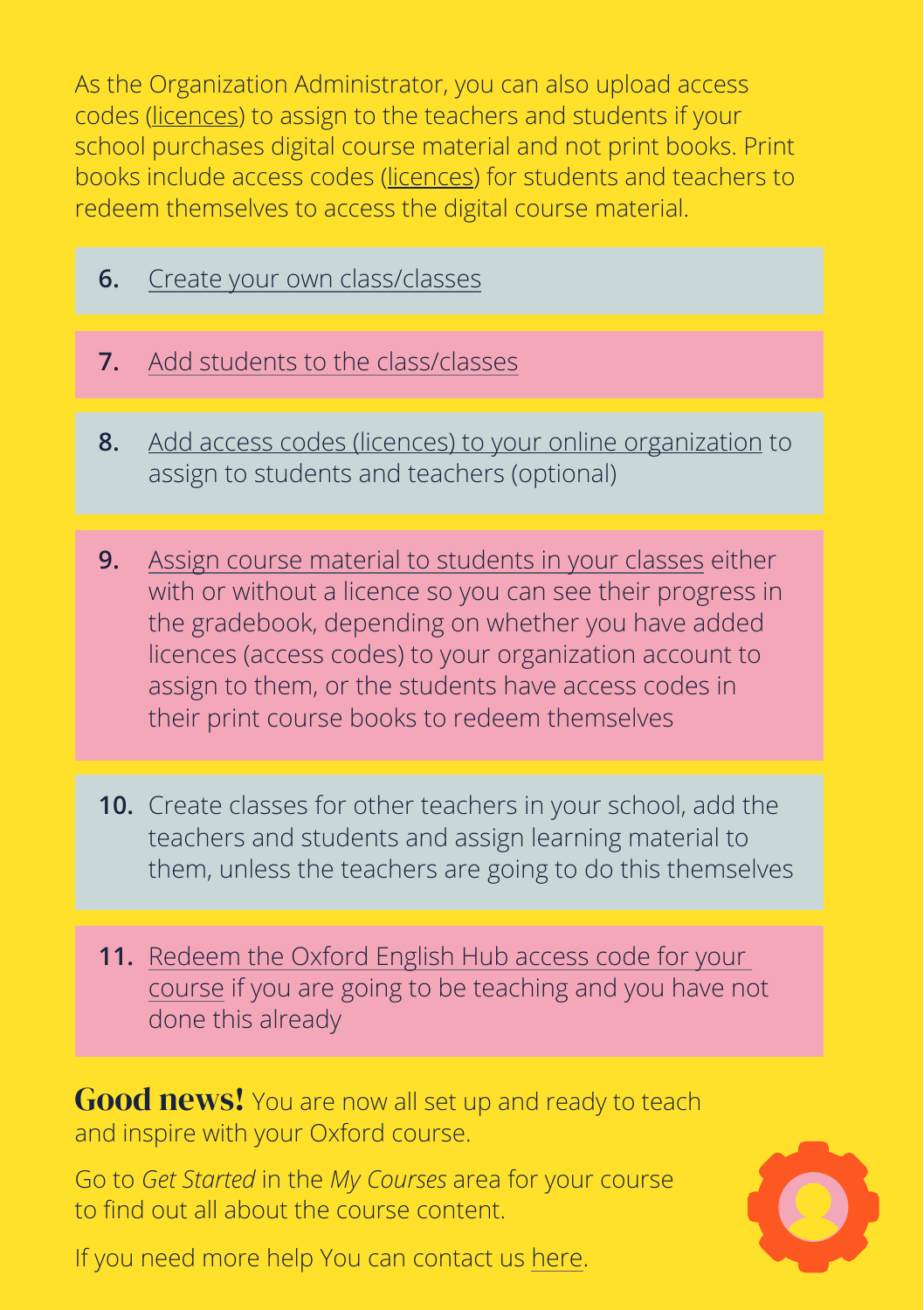As the Organization Administrator, you can also upload access codes [\(licences](https://englishhub.oup.com/support/articles/what-is-a-licence)) to assign to the teachers and students if your school purchases digital course material and not print books. Print books include access codes [\(licences](https://englishhub.oup.com/support/articles/what-is-a-licence)) for students and teachers to redeem themselves to access the digital course material.

- **6.** [Create your own class/classes](https://englishhub.oup.com/support/articles/add-a-class)
- **7.** [Add students to the class/classes](https://englishhub.oup.com/support/articles/add-students-to-a-class)
- **8.** [Add access codes \(licences\) to your online organization](https://englishhub.oup.com/support/articles/add-licences-to-an-organization) to assign to students and teachers (optional)
- **9.** [Assign course material to students in your classes](https://englishhub.oup.com/support/articles/add-course-material-to-a-class) either with or without a licence so you can see their progress in the gradebook, depending on whether you have added licences (access codes) to your organization account to assign to them, or the students have access codes in their print course books to redeem themselves
- **10.** Create classes for other teachers in your school, add the teachers and students and assign learning material to them, unless the teachers are going to do this themselves
- **11.** Redeem [the Oxford English Hub access code for your](https://englishhub.oup.com/support/articles/use-a-code)  [course](https://englishhub.oup.com/support/articles/use-a-code) if you are going to be teaching and you have not done this already

**Good news!** You are now all set up and ready to teach and inspire with your Oxford course.

Go to *Get Started* in the *My Courses* area for your course to find out all about the course content.

If you need more help You can contact us [here.](https://englishhub.oup.com/support/contact-us)

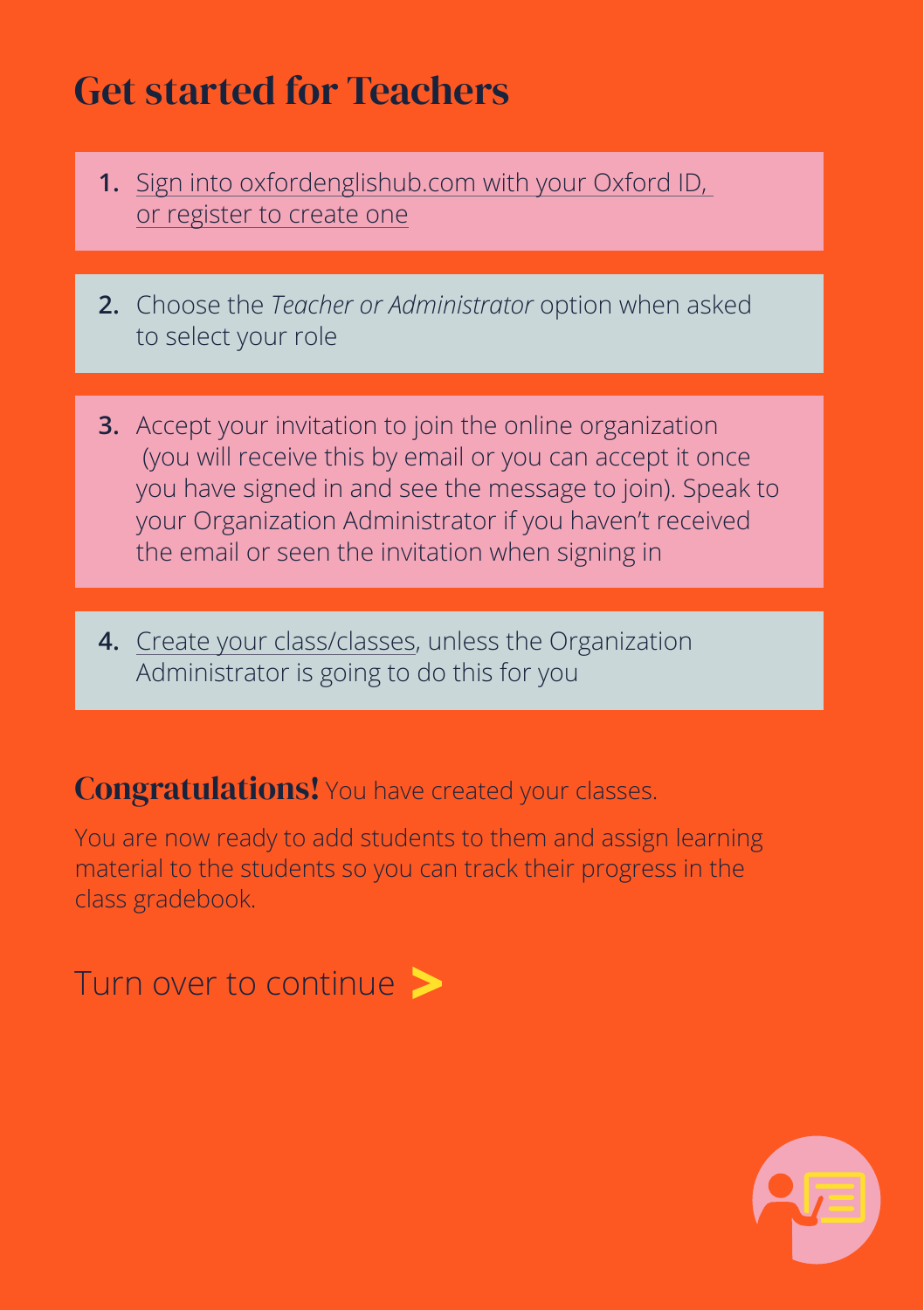### <span id="page-4-0"></span>Get started for Teachers

- **1.** [Sign into oxfordenglishub.com with your Oxford ID,](https://englishhub.oup.com/support/articles/how-to-get-started#how_to_get_started)  [or register to create one](https://englishhub.oup.com/support/articles/how-to-get-started#how_to_get_started)
- **2.** Choose the *Teacher or Administrator* option when asked to select your role
- **3.** Accept your invitation to join the online organization (you will receive this by email or you can accept it once you have signed in and see the message to join). Speak to your Organization Administrator if you haven't received the email or seen the invitation when signing in
- **4.** [Create your class/classes,](https://englishhub.oup.com/support/articles/add-a-class) unless the Organization Administrator is going to do this for you

#### Congratulations! You have created your classes.

You are now ready to add students to them and assign learning material to the students so you can track their progress in the class gradebook.

Turn over to continue **>**